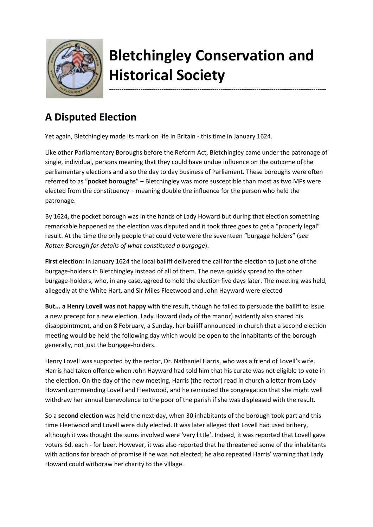

## **Bletchingley Conservation and Historical Society**

**-------------------------------------------------------------------------------------------------------**

## **A Disputed Election**

Yet again, Bletchingley made its mark on life in Britain - this time in January 1624.

Like other Parliamentary Boroughs before the Reform Act, Bletchingley came under the patronage of single, individual, persons meaning that they could have undue influence on the outcome of the parliamentary elections and also the day to day business of Parliament. These boroughs were often referred to as "**pocket boroughs**" – Bletchingley was more susceptible than most as two MPs were elected from the constituency – meaning double the influence for the person who held the patronage.

By 1624, the pocket borough was in the hands of Lady Howard but during that election something remarkable happened as the election was disputed and it took three goes to get a "properly legal" result. At the time the only people that could vote were the seventeen "burgage holders" (*see Rotten Borough for details of what constituted a burgage*).

**First election:** In January 1624 the local bailiff delivered the call for the election to just one of the burgage-holders in Bletchingley instead of all of them. The news quickly spread to the other burgage-holders, who, in any case, agreed to hold the election five days later. The meeting was held, allegedly at the White Hart, and Sir Miles Fleetwood and John Hayward were elected

**But... a Henry Lovell was not happy** with the result, though he failed to persuade the bailiff to issue a new precept for a new election. Lady Howard (lady of the manor) evidently also shared his disappointment, and on 8 February, a Sunday, her bailiff announced in church that a second election meeting would be held the following day which would be open to the inhabitants of the borough generally, not just the burgage-holders.

Henry Lovell was supported by the rector, Dr. Nathaniel Harris, who was a friend of Lovell's wife. Harris had taken offence when John Hayward had told him that his curate was not eligible to vote in the election. On the day of the new meeting, Harris (the rector) read in church a letter from Lady Howard commending Lovell and Fleetwood, and he reminded the congregation that she might well withdraw her annual benevolence to the poor of the parish if she was displeased with the result.

So a **second election** was held the next day, when 30 inhabitants of the borough took part and this time Fleetwood and Lovell were duly elected. It was later alleged that Lovell had used bribery, although it was thought the sums involved were 'very little'. Indeed, it was reported that Lovell gave voters 6d. each - for beer. However, it was also reported that he threatened some of the inhabitants with actions for breach of promise if he was not elected; he also repeated Harris' warning that Lady Howard could withdraw her charity to the village.